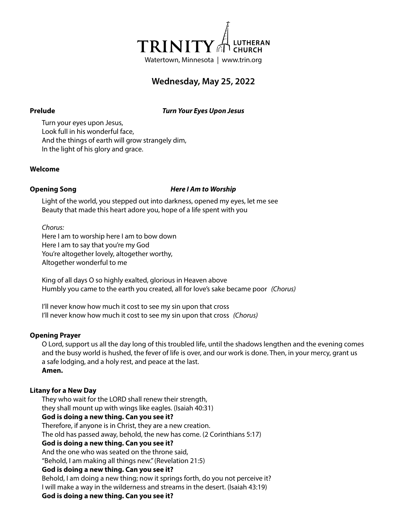

# **Wednesday, May 25, 2022**

**Prelude** *Turn Your Eyes Upon Jesus*

Turn your eyes upon Jesus, Look full in his wonderful face, And the things of earth will grow strangely dim, In the light of his glory and grace.

### **Welcome**

### **Opening Song** *Here I Am to Worship*

Light of the world, you stepped out into darkness, opened my eyes, let me see Beauty that made this heart adore you, hope of a life spent with you

*Chorus:* Here I am to worship here I am to bow down Here I am to say that you're my God You're altogether lovely, altogether worthy, Altogether wonderful to me

King of all days O so highly exalted, glorious in Heaven above Humbly you came to the earth you created, all for love's sake became poor *(Chorus)*

I'll never know how much it cost to see my sin upon that cross I'll never know how much it cost to see my sin upon that cross *(Chorus)*

# **Opening Prayer**

O Lord, support us all the day long of this troubled life, until the shadows lengthen and the evening comes and the busy world is hushed, the fever of life is over, and our work is done. Then, in your mercy, grant us a safe lodging, and a holy rest, and peace at the last. **Amen.**

# **Litany for a New Day**

They who wait for the LORD shall renew their strength, they shall mount up with wings like eagles. (Isaiah 40:31) **God is doing a new thing. Can you see it?** Therefore, if anyone is in Christ, they are a new creation.

The old has passed away, behold, the new has come. (2 Corinthians 5:17)

# **God is doing a new thing. Can you see it?**

And the one who was seated on the throne said,

"Behold, I am making all things new." (Revelation 21:5)

# **God is doing a new thing. Can you see it?**

Behold, I am doing a new thing; now it springs forth, do you not perceive it? I will make a way in the wilderness and streams in the desert. (Isaiah 43:19)

# **God is doing a new thing. Can you see it?**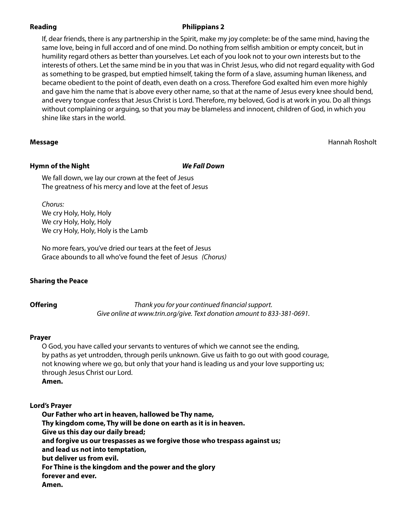# **Reading Philippians 2**

If, dear friends, there is any partnership in the Spirit, make my joy complete: be of the same mind, having the same love, being in full accord and of one mind. Do nothing from selfish ambition or empty conceit, but in humility regard others as better than yourselves. Let each of you look not to your own interests but to the interests of others. Let the same mind be in you that was in Christ Jesus, who did not regard equality with God as something to be grasped, but emptied himself, taking the form of a slave, assuming human likeness, and became obedient to the point of death, even death on a cross. Therefore God exalted him even more highly and gave him the name that is above every other name, so that at the name of Jesus every knee should bend, and every tongue confess that Jesus Christ is Lord. Therefore, my beloved, God is at work in you. Do all things without complaining or arguing, so that you may be blameless and innocent, children of God, in which you shine like stars in the world.

**Message** Hannah Rosholt

# **Hymn of the Night** *We Fall Down*

We fall down, we lay our crown at the feet of Jesus The greatness of his mercy and love at the feet of Jesus

*Chorus:* We cry Holy, Holy, Holy We cry Holy, Holy, Holy We cry Holy, Holy, Holy is the Lamb

No more fears, you've dried our tears at the feet of Jesus Grace abounds to all who've found the feet of Jesus *(Chorus)*

# **Sharing the Peace**

**Offering** *Thank you for your continued financial support. Give online at www.trin.org/give. Text donation amount to 833-381-0691.*

# **Prayer**

O God, you have called your servants to ventures of which we cannot see the ending, by paths as yet untrodden, through perils unknown. Give us faith to go out with good courage, not knowing where we go, but only that your hand is leading us and your love supporting us; through Jesus Christ our Lord. **Amen.**

# **Lord's Prayer**

**Our Father who art in heaven, hallowed be Thy name, Thy kingdom come, Thy will be done on earth as it is in heaven. Give us this day our daily bread; and forgive us our trespasses as we forgive those who trespass against us; and lead us not into temptation, but deliver us from evil. For Thine is the kingdom and the power and the glory forever and ever. Amen.**